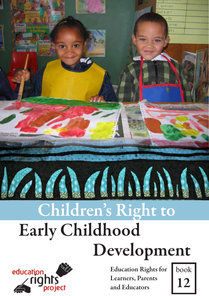

# Early Childhood Development Children's Right to



Education Rights for Learners, Parents and Educators

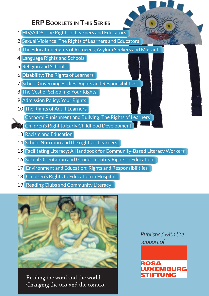#### **ERP Booklets in This Series**

- 1 HIV/AIDS: The Rights of Learners and Educators
- 2 Sexual Violence: The Rights of Learners and Educators
- 3 The Education Rights of Refugees, Asylum Seekers and Migrants
- 4 Language Rights and Schools
- 5 Religion and Schools
- 6 Disability: The Rights of Learners
- 7 School Governing Bodies: Rights and Responsibilities
- 8 The Cost of Schooling: Your Rights
- 9 Admission Policy: Your Rights
- 10 The Rights of Adult Learners
- 11 Corporal Punishment and Bullying: The Rights of Learners
- **12** Children's Right to Early Childhood Development
- 13 Racism and Education
- 14 School Nutrition and the rights of Learners
- **15** Facilitating Literacy: A Handbook for Community-Based Literacy Workers
- 16 Sexual Orientation and Gender Identity Rights in Education
- 17 Environment and Education: Rights and Responsibilitiies
- 18 Children's Rights to Education in Hospital
- 19 Reading Clubs and Community Literacy



Reading the word and the world Changing the text and the context *Published with the support of* 

#### ROSA *CEMBURG* **TIFTUNG**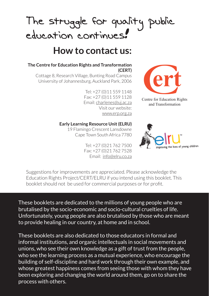# The struggle for quality<br>education continues. public

### **How to contact us:**

#### **The Centre for Education Rights and Transformation (CERT)**

Cottage 8, Research Village, Bunting Road Campus University of Johannesburg, Auckland Park, 2006

> Tel: +27 (0)11 559 1148 Fax: +27 (0)11 559 1128 Email: charlenes@uj.ac.za Visit our website: www.erp.org.za

#### **Early Learning Resource Unit (ELRU)**

19 Flamingo Crescent Lansdowne Cape Town South Africa 7780

> Tel: +27 (0)21 762 7500 Fax: +27 (0)21 762 7528 Email: info@elru.co.za



Centre for Education Rights and Transformation



Suggestions for improvements are appreciated. Please acknowledge the Education Rights Project/CERT/ELRU if you intend using this booklet. This booklet should not be used for commercial purposes or for profit.

These booklets are dedicated to the millions of young people who are brutalised by the socio-economic and socio-cultural cruelties of life. Unfortunately, young people are also brutalised by those who are meant to provide healing in our country, at home and in school.

These booklets are also dedicated to those educators in formal and informal institutions, and organic intellectuals in social movements and unions, who see their own knowledge as a gift of trust from the people, who see the learning process as a mutual experience, who encourage the building of self-discipline and hard work through their own example, and whose greatest happiness comes from seeing those with whom they have been exploring and changing the world around them, go on to share the process with others.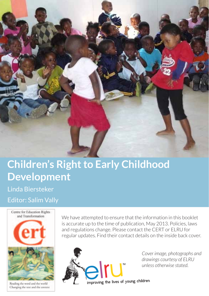

### **Children's Right to Early Childhood Development**

Linda Biersteker Editor: Salim Vally



Reading the word and the world Changing the text and the context

We have attempted to ensure that the information in this booklet is accurate up to the time of publication, May 2013. Policies, laws and regulations change. Please contact the CERT or ELRU for regular updates. Find their contact details on the inside back cover.



*Cover image, photographs and drawings courtesy of ELRU unless otherwise stated.*

improving the lives of young children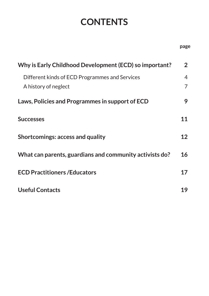### **Contents**

| Why is Early Childhood Development (ECD) so important?                 | $\overline{2}$ |
|------------------------------------------------------------------------|----------------|
| Different kinds of ECD Programmes and Services<br>A history of neglect | 4<br>7         |
| Laws, Policies and Programmes in support of ECD                        | 9              |
| <b>Successes</b>                                                       | 11             |
| Shortcomings: access and quality                                       | 12             |
| What can parents, guardians and community activists do?                | 16             |
| <b>ECD Practitioners / Educators</b>                                   | 17             |
| <b>Useful Contacts</b>                                                 | 19             |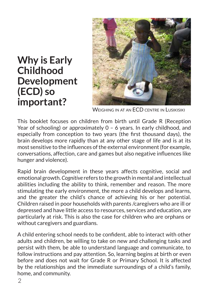### **Why is Early Childhood Development (ECD) so important?**



WEIGHING IN AT AN ECD CENTRE IN LUSIKISIKI

This booklet focuses on children from birth until Grade R (Reception Year of schooling) or approximately 0 – 6 years. In early childhood, and especially from conception to two years (the first thousand days), the brain develops more rapidly than at any other stage of life and is at its most sensitive to the influences of the external environment (for example, conversations, affection, care and games but also negative influences like hunger and violence).

Rapid brain development in these years affects cognitive, social and emotional growth. *Cognitive* refers to the growth in mental and intellectual abilities including the ability to think, remember and reason. The more stimulating the early environment, the more a child develops and learns, and the greater the child's chance of achieving his or her potential. Children raised in poor households with parents /caregivers who are ill or depressed and have little access to resources, services and education, are particularly at risk. This is also the case for children who are orphans or without caregivers and guardians.

A child entering school needs to be confident, able to interact with other adults and children, be willing to take on new and challenging tasks and persist with them, be able to understand language and communicate, to follow instructions and pay attention. So, learning begins at birth or even before and does not wait for Grade R or Primary School. It is affected by the relationships and the immediate surroundings of a child's family, home, and community.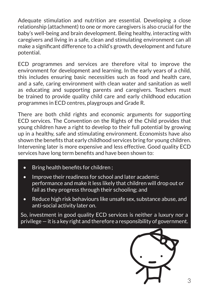Adequate stimulation and nutrition are essential. Developing a close relationship (attachment) to one or more caregivers is also crucial for the baby's well-being and brain development. Being healthy, interacting with caregivers and living in a safe, clean and stimulating environment can all make a significant difference to a child's growth, development and future potential.

ECD programmes and services are therefore vital to improve the environment for development and learning. In the early years of a child, this includes ensuring basic necessities such as food and health care, and a safe, caring environment with clean water and sanitation as well as educating and supporting parents and caregivers. Teachers must be trained to provide quality child care and early childhood education programmes in ECD centres, playgroups and Grade R.

There are both child rights and economic arguments for supporting ECD services. The Convention on the Rights of the Child provides that young children have a right to develop to their full potential by growing up in a healthy, safe and stimulating environment. Economists have also shown the benefits that early childhood services bring for young children. Intervening later is more expensive and less effective. Good quality ECD services have long term benefits and have been shown to:

- Bring health benefits for children;
- Improve their readiness for school and later academic performance and make it less likely that children will drop out or fail as they progress through their schooling; and
- Reduce high risk behaviours like unsafe sex, substance abuse, and anti-social activity later on.

So, investment in good quality ECD services is neither a luxury nor a privilege — it is a key right and therefore a responsibility of government.

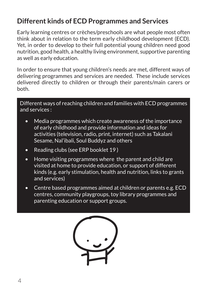### **Different kinds of ECD Programmes and Services**

Early learning centres or crèches/preschools are what people most often think about in relation to the term early childhood development (ECD). Yet, in order to develop to their full potential young children need good nutrition, good health, a healthy living environment, supportive parenting as well as early education.

In order to ensure that young children's needs are met, different ways of delivering programmes and services are needed. These include services delivered directly to children or through their parents/main carers or both.

Different ways of reaching children and families with ECD programmes and services :

- Media programmes which create awareness of the importance of early childhood and provide information and ideas for activities (television, radio, print, internet) such as Takalani Sesame, Nal'ibali, Soul Buddyz and others
- Reading clubs (see ERP booklet 19)
- Home visiting programmes where the parent and child are visited at home to provide education, or support of different kinds (e.g. early stimulation, health and nutrition, links to grants and services)
- Centre based programmes aimed at children or parents e.g. ECD centres, community playgroups, toy library programmes and parenting education or support groups.

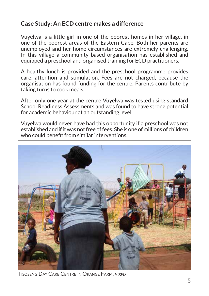#### **Case Study: An ECD centre makes a difference**

Vuyelwa is a little girl in one of the poorest homes in her village, in one of the poorest areas of the Eastern Cape. Both her parents are unemployed and her home circumstances are extremely challenging. In this village a community based organisation has established and equipped a preschool and organised training for ECD practitioners.

A healthy lunch is provided and the preschool programme provides care, attention and stimulation. Fees are not charged, because the organisation has found funding for the centre. Parents contribute by taking turns to cook meals.

After only one year at the centre Vuyelwa was tested using standard School Readiness Assessments and was found to have strong potential for academic behaviour at an outstanding level.

Vuyelwa would never have had this opportunity if a preschool was not established and if it was not free of fees. She is one of millions of children who could benefit from similar interventions



Itsoseng Day Care Centre in Orange Farm. *nixpix*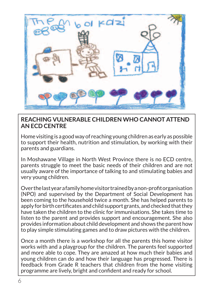

#### **REACHING VULNERABLE CHILDREN WHO CANNOT ATTEND AN ECD CENTRE**

Home visiting is a good way of reaching young children as early as possible to support their health, nutrition and stimulation, by working with their parents and guardians.

In Moshawane Village in North West Province there is no ECD centre, parents struggle to meet the basic needs of their children and are not usually aware of the importance of talking to and stimulating babies and very young children.

Over the last year a family home visitor trained by a non-profit organisation (NPO) and supervised by the Department of Social Development has been coming to the household twice a month. She has helped parents to apply for birth certificates and child support grants, and checked that they have taken the children to the clinic for immunisations. She takes time to listen to the parent and provides support and encouragement. She also provides information about child development and shows the parent how to play simple stimulating games and to draw pictures with the children.

Once a month there is a workshop for all the parents this home visitor works with and a playgroup for the children. The parents feel supported and more able to cope. They are amazed at how much their babies and young children can do and how their language has progressed. There is feedback from Grade R teachers that children from the home visiting programme are lively, bright and confident and ready for school.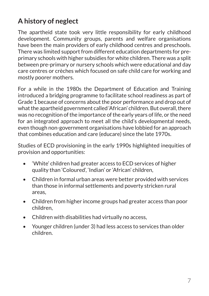### **A history of neglect**

The apartheid state took very little responsibility for early childhood development. Community groups, parents and welfare organisations have been the main providers of early childhood centres and preschools. There was limited support from different education departments for preprimary schools with higher subsidies for white children. There was a split between pre-primary or nursery schools which were educational and day care centres or crèches which focused on safe child care for working and mostly poorer mothers.

For a while in the 1980s the Department of Education and Training introduced a bridging programme to facilitate school readiness as part of Grade 1 because of concerns about the poor performance and drop out of what the apartheid government called 'African' children. But overall, there was no recognition of the importance of the early years of life, or the need for an integrated approach to meet all the child's developmental needs, even though non-government organisations have lobbied for an approach that combines education and care (educare) since the late 1970s.

Studies of ECD provisioning in the early 1990s highlighted inequities of provision and opportunities:

- *'White'* children had greater access to ECD services of higher quality than 'Coloured', 'Indian' or 'African' children,
- Children in formal urban areas were better provided with services than those in informal settlements and poverty stricken rural areas,
- Children from higher income groups had greater access than poor children,
- Children with disabilities had virtually no access,
- Younger children (under 3) had less access to services than older children.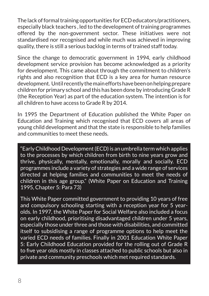The lack of formal training opportunities for ECD educators/practitioners, especially black teachers , led to the development of training programmes offered by the non-government sector. These initiatives were not standardised nor recognised and while much was achieved in improving quality, there is still a serious backlog in terms of trained staff today.

Since the change to democratic government in 1994, early childhood development service provision has become acknowledged as a priority for development. This came about through the commitment to children's rights and also recognition that ECD is a key area for human resource development. Until recently the main efforts have been on helping prepare children for primary school and this has been done by introducing Grade R (the Reception Year) as part of the education system. The intention is for all children to have access to Grade R by 2014.

In 1995 the Department of Education published the White Paper on Education and Training which recognised that ECD covers all areas of young child development and that the state is responsible to help families and communities to meet these needs.

"Early Childhood Development (ECD) is an umbrella term which applies to the processes by which children from birth to nine years grow and thrive, physically, mentally, emotionally, morally and socially. ECD programmes include a variety of strategies and a wide range of services directed at helping families and communities to meet the needs of children in this age group." (White Paper on Education and Training 1995, Chapter 5: Para 73)

This White Paper committed government to providing 10 years of free and compulsory schooling starting with a reception year for 5 yearolds. In 1997, the White Paper for Social Welfare also included a focus on early childhood, prioritising disadvantaged children under 5 years, especially those under three and those with disabilities, and committed itself to subsidising a range of programme options to help meet the varied ECD needs of families. Finally in 2001 Education White Paper 5: Early Childhood Education provided for the rolling out of Grade R to five year olds mostly in classes attached to public schools but also in private and community preschools which met required standards.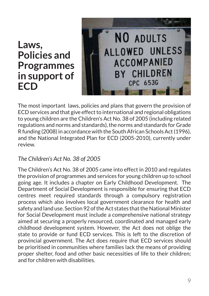### **Laws, Policies and Programmes in support of ECD**



The most important laws, policies and plans that govern the provision of ECD services and that give effect to international and regional obligations to young children are the Children's Act No. 38 of 2005 (including related regulations and norms and standards), the norms and standards for Grade R funding (2008) in accordance with the South African Schools Act (1996), and the National Integrated Plan for ECD (2005-2010), currently under review.

#### *The Children's Act No. 38 of 2005*

The Children's Act No. 38 of 2005 came into effect in 2010 and regulates the provision of programmes and services for young children up to school going age. It includes a chapter on Early Childhood Development. The Department of Social Development is responsible for ensuring that ECD centres meet required standards through a compulsory registration process which also involves local government clearance for health and safety and land use. Section 92 of the Act states that the National Minister for Social Development must include a comprehensive national strategy aimed at securing a properly resourced, coordinated and managed early childhood development system. However, the Act does not oblige the state to provide or fund ECD services. This is left to the discretion of provincial government. The Act does require that ECD services should be prioritised in communities where families lack the means of providing proper shelter, food and other basic necessities of life to their children; and for children with disabilities.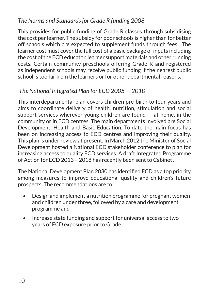#### *The Norms and Standards for Grade R funding 2008*

This provides for public funding of Grade R classes through subsidising the cost per learner. The subsidy for poor schools is higher than for better off schools which are expected to supplement funds through fees. The learner cost must cover the full cost of a basic package of inputs including the cost of the ECD educator, learner support materials and other running costs. Certain community preschools offering Grade R and registered as independent schools may receive public funding if the nearest public school is too far from the learners or for other departmental reasons.

#### *The National Integrated Plan for ECD 2005 — 2010*

This interdepartmental plan covers children pre-birth to four years and aims to coordinate delivery of health, nutrition, stimulation and social support services wherever young children are found  $-$  at home, in the community or in ECD centres. The main departments involved are Social Development, Health and Basic Education. To date the main focus has been on increasing access to ECD centres and improving their quality. This plan is under review at present. In March 2012 the Minister of Social Development hosted a National ECD stakeholder conference to plan for increasing access to quality ECD services. A draft Integrated Programme of Action for ECD 2013 – 2018 has recently been sent to Cabinet .

The National Development Plan 2030 has identified ECD as a top priority among measures to improve educational quality and children's future prospects. The recommendations are to:

- Design and implement a nutrition programme for pregnant women and children under three, followed by a care and development programme and
- Increase state funding and support for universal access to two years of ECD exposure prior to Grade 1.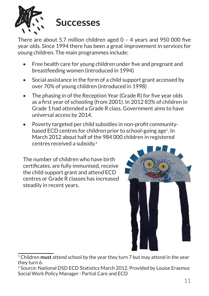

There are about 5.7 million children aged 0 – 4 years and 950 000 five year olds. Since 1994 there has been a great improvement in services for young children. The main programmes include:

- Free health care for young children under five and pregnant and breastfeeding women (introduced in 1994)
- Social assistance in the form of a child support grant accessed by over 70% of young children (introduced in 1998)
- $\bullet$  The phasing in of the Reception Year (Grade R) for five year olds as a first year of schooling (from 2001). In 2012 83% of children in Grade 1 had attended a Grade R class. Government aims to have universal access by 2014.
- Poverty targeted per child subsidies in non-profit communitybased ECD centres for children prior to school-going age<sup>1</sup>. In March 2012 about half of the 984 000 children in registered centres received a subsidy.2

The number of children who have birth certificates, are fully immunised, receive the child support grant and attend ECD centres or Grade R classes has increased steadily in recent years.



<sup>1</sup> Children **must** attend school by the year they turn 7 but may attend in the year they turn 6.

<sup>&</sup>lt;sup>2</sup> Source: National DSD ECD Statistics March 2012. Provided by Louise Erasmus Social Work Policy Manager : Partial Care and ECD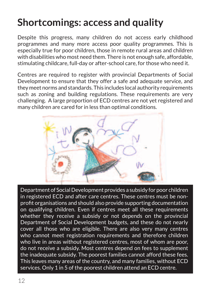## **Shortcomings: access and quality**

Despite this progress, many children do not access early childhood programmes and many more access poor quality programmes. This is especially true for poor children, those in remote rural areas and children with disabilities who most need them. There is not enough safe, affordable, stimulating childcare, full-day or after-school care, for those who need it.

Centres are required to register with provincial Departments of Social Development to ensure that they offer a safe and adequate service, and they meet norms and standards. This includes local authority requirements such as zoning and building regulations. These requirements are very challenging. A large proportion of ECD centres are not yet registered and many children are cared for in less than optimal conditions.



Department of Social Development provides a subsidy for poor children in registered ECD and after care centres. These centres must be nonprofit organisations and should also provide supporting documentation on qualifying children. Even if centres meet all these requirements whether they receive a subsidy or not depends on the provincial Department of Social Development budgets, and these do not nearly cover all those who are eligible. There are also very many centres who cannot meet registration requirements and therefore children who live in areas without registered centres, most of whom are poor, do not receive a subsidy. Most centres depend on fees to supplement the inadequate subsidy. The poorest families cannot afford these fees. This leaves many areas of the country, and many families, without ECD services. Only 1 in 5 of the poorest children attend an ECD centre.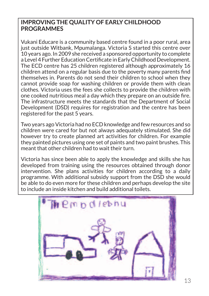#### **IMPROVING THE QUALITY OF EARLY CHILDHOOD PROGRAMMES**

Vukani Educare is a community based centre found in a poor rural, area just outside Witbank, Mpumalanga, Victoria S started this centre over 10 years ago. In 2009 she received a sponsored opportunity to complete a Level 4 Further Education Certificate in Early Childhood Development. The ECD centre has 25 children registered although approximately 16 children attend on a regular basis due to the poverty many parents find themselves in. Parents do not send their children to school when they cannot provide soap for washing children or provide them with clean clothes. Victoria uses the fees she collects to provide the children with one cooked nutritious meal a day which they prepare on an outside fire. The infrastructure meets the standards that the Department of Social Development (DSD) requires for registration and the centre has been registered for the past 5 years.

Two years ago Victoria had no ECD knowledge and few resources and so children were cared for but not always adequately stimulated. She did however try to create planned art activities for children. For example they painted pictures using one set of paints and two paint brushes. This meant that other children had to wait their turn.

Victoria has since been able to apply the knowledge and skills she has developed from training using the resources obtained through donor intervention. She plans activities for children according to a daily programme. With additional subsidy support from the DSD she would be able to do even more for these children and perhaps develop the site to include an inside kitchen and build additional toilets.

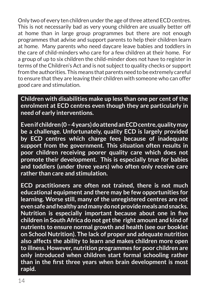Only two of every ten children under the age of three attend ECD centres. This is not necessarily bad as very young children are usually better off at home than in large group programmes but there are not enough programmes that advise and support parents to help their children learn at home. Many parents who need daycare leave babies and toddlers in the care of child-minders who care for a few children at their home. For a group of up to six children the child-minder does not have to register in terms of the Children's Act and is not subject to quality checks or support from the authorities. This means that parents need to be extremely careful to ensure that they are leaving their children with someone who can offer good care and stimulation.

**Children with disabilities make up less than one per cent of the enrolment at ECD centres even though they are particularly in need of early interventions.** 

**Even if children (0 – 4 years) do attend an ECD centre, quality may be a challenge. Unfortunately, quality ECD is largely provided by ECD centres which charge fees because of inadequate support from the government. This situation often results in poor children receiving poorer quality care which does not promote their development. This is especially true for babies and toddlers (under three years) who often only receive care rather than care and stimulation.**

**ECD practitioners are often not trained, there is not much educational equipment and there may be few opportunities for learning. Worse still, many of the unregistered centres are not even safe and healthy and many do not provide meals and snacks. Nutrition is especially important because about one in five children in South Africa do not get the right amount and kind of nutrients to ensure normal growth and health (see our booklet on School Nutrition). The lack of proper and adequate nutrition also affects the ability to learn and makes children more open to illness. However, nutrition programmes for poor children are only introduced when children start formal schooling rather than in the first three years when brain development is most rapid.**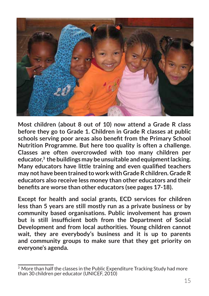

**Most children (about 8 out of 10) now attend a Grade R class before they go to Grade 1. Children in Grade R classes at public schools serving poor areas also benefit from the Primary School Nutrition Programme. But here too quality is often a challenge. Classes are often overcrowded with too many children per educator,3 the buildings may be unsuitable and equipment lacking. Many educators have little training and even qualified teachers may not have been trained to work with Grade R children. Grade R educators also receive less money than other educators and their benefits are worse than other educators (see pages 17-18).**

**Except for health and social grants, ECD services for children less than 5 years are still mostly run as a private business or by community based organisations. Public involvement has grown but is still insufficient both from the Department of Social Development and from local authorities. Young children cannot wait, they are everybody's business and it is up to parents and community groups to make sure that they get priority on everyone's agenda.** 

<sup>&</sup>lt;sup>3</sup> More than half the classes in the Public Expenditure Tracking Study had more than 30 children per educator (UNICEF, 2010)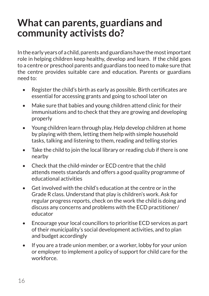### **What can parents, guardians and community activists do?**

In the early years of a child, parents and guardians have the most important role in helping children keep healthy, develop and learn. If the child goes to a centre or preschool parents and guardians too need to make sure that the centre provides suitable care and education. Parents or guardians need to:

- Register the child's birth as early as possible. Birth certificates are essential for accessing grants and going to school later on
- Make sure that babies and young children attend clinic for their immunisations and to check that they are growing and developing properly
- Young children learn through play. Help develop children at home by playing with them, letting them help with simple household tasks, talking and listening to them, reading and telling stories
- Take the child to join the local library or reading club if there is one nearby
- Check that the child-minder or ECD centre that the child attends meets standards and offers a good quality programme of educational activities
- • Get involved with the child's education at the centre or in the Grade R class. Understand that play is children's work. Ask for regular progress reports, check on the work the child is doing and discuss any concerns and problems with the ECD practitioner/ educator
- Encourage your local councillors to prioritise ECD services as part of their municipality's social development activities, and to plan and budget accordingly
- If you are a trade union member, or a worker, lobby for your union or employer to implement a policy of support for child care for the workforce.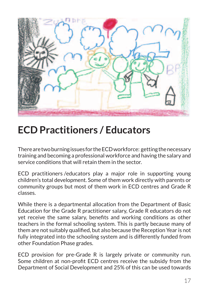

### **ECD Practitioners / Educators**

There are two burning issues for the ECD workforce: getting the necessary training and becoming a professional workforce and having the salary and service conditions that will retain them in the sector.

ECD practitioners/educators play a major role in supporting young children's total development. Some of them work directly with parents or community groups but most of them work in ECD centres and Grade R classes.

While there is a departmental allocation from the Department of Basic Education for the Grade R practitioner salary, Grade R educators do not yet receive the same salary, benefits and working conditions as other teachers in the formal schooling system. This is partly because many of them are not suitably qualified, but also because the Reception Year is not fully integrated into the schooling system and is differently funded from other Foundation Phase grades.

ECD provision for pre-Grade R is largely private or community run. Some children at non-profit ECD centres receive the subsidy from the Department of Social Development and 25% of this can be used towards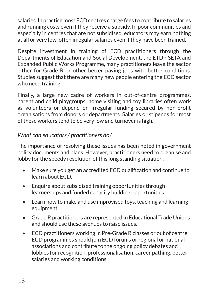salaries. In practice most ECD centres charge fees to contribute to salaries and running costs even if they receive a subsidy. In poor communities and especially in centres that are not subsidised, educators may earn nothing at all or very low, often irregular salaries even if they have been trained.

Despite investment in training of ECD practitioners through the Departments of Education and Social Development, the ETDP SETA and Expanded Public Works Programme, many practitioners leave the sector either for Grade R or other better paying jobs with better conditions. Studies suggest that there are many new people entering the ECD sector who need training.

Finally, a large new cadre of workers in out-of-centre programmes, parent and child playgroups, home visiting and toy libraries often work as volunteers or depend on irregular funding secured by non-profit organisations from donors or departments. Salaries or stipends for most of these workers tend to be very low and turnover is high.

#### *What can educators / practitioners do?*

The importance of resolving these issues has been noted in government policy documents and plans. However, practitioners need to organise and lobby for the speedy resolution of this long standing situation.

- Make sure you get an accredited ECD qualification and continue to learn about ECD.
- Enquire about subsidised training opportunities through learnerships and funded capacity building opportunities.
- Learn how to make and use improvised toys, teaching and learning equipment.
- Grade R practitioners are represented in Educational Trade Unions and should use these avenues to raise issues.
- ECD practitioners working in Pre-Grade R classes or out of centre ECD programmes should join ECD forums or regional or national associations and contribute to the ongoing policy debates and lobbies for recognition, professionalisation, career pathing, better salaries and working conditions.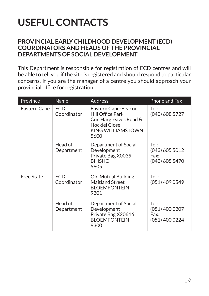# **USEFUL CONTACTS**

#### **PROVINCIAL EARLY CHILDHOOD DEVELOPMENT (ECD) COORDINATORS AND HEADS OF THE PROVINCIAL DEPARTMENTS OF SOCIAL DEVELOPMENT**

This Department is responsible for registration of ECD centres and will be able to tell you if the site is registered and should respond to particular concerns. If you are the manager of a centre you should approach your provincial office for registration.

| Province          | Name                      | <b>Address</b>                                                                                                                | Phone and Fax                                      |
|-------------------|---------------------------|-------------------------------------------------------------------------------------------------------------------------------|----------------------------------------------------|
| Eastern Cape      | <b>ECD</b><br>Coordinator | Eastern Cape-Beacon<br><b>Hill Office Park</b><br>Cnr. Hargreaves Road &<br>Hocklei Close<br><b>KING WILLIAMSTOWN</b><br>5600 | Tel:<br>(040) 608 5727                             |
|                   | Head of<br>Department     | Department of Social<br>Development<br>Private Bag X0039<br><b>BHISHO</b><br>5605                                             | Tel:<br>(043) 605 5012<br>Fax:<br>(043) 605 5470   |
| <b>Free State</b> | ECD<br>Coordinator        | <b>Old Mutual Building</b><br><b>Maitland Street</b><br><b>BLOEMFONTEIN</b><br>9301                                           | Tel:<br>(051) 409 0549                             |
|                   | Head of<br>Department     | Department of Social<br>Development<br>Private Bag X20616<br><b>BLOEMFONTEIN</b><br>9300                                      | Tel:<br>$(051)$ 400 0307<br>Fax:<br>(051) 400 0224 |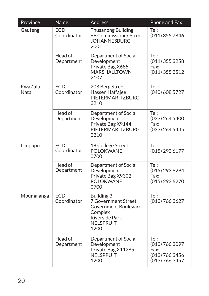| Province         | Name                      | <b>Address</b>                                                                                                            | Phone and Fax                                                      |
|------------------|---------------------------|---------------------------------------------------------------------------------------------------------------------------|--------------------------------------------------------------------|
| Gauteng          | <b>ECD</b><br>Coordinator | <b>Thusanong Building</b><br>69 Commissioner Street<br><b>JOHANNESBURG</b><br>2001                                        | Tel:<br>(011) 355 7846                                             |
|                  | Head of<br>Department     | Department of Social<br>Development<br>Private Bag X685<br><b>MARSHALLTOWN</b><br>2107                                    | Tel:<br>(011) 355 3258<br>Fax:<br>(011) 355 3512                   |
| KwaZulu<br>Natal | <b>ECD</b><br>Coordinator | 208 Berg Street<br>Hassen Haffajee<br>PIETERMARITZBURG<br>3210                                                            | Tel:<br>(040) 608 5727                                             |
|                  | Head of<br>Department     | Department of Social<br>Development<br>Private Bag X9144<br>PIETERMARITZBURG<br>3210                                      | Tel:<br>(033) 264 5400<br>Fax:<br>(033) 264 5435                   |
| Limpopo          | ECD<br>Coordinator        | 18 College Street<br><b>POLOKWANE</b><br>0700                                                                             | Tel:<br>(015) 293 6177                                             |
|                  | Head of<br>Department     | Department of Social<br>Development<br>Private Bag X9302<br><b>POLOKWANE</b><br>0700                                      | Tel:<br>(015) 293 6294<br>Fax:<br>(015) 293 6270                   |
| Mpumalanga       | <b>ECD</b><br>Coordinator | Building 3<br><b>7 Government Street</b><br>Government Boulevard<br>Complex<br><b>Riverside Park</b><br>NELSPRUIT<br>1200 | Tel:<br>(013) 766 3627                                             |
|                  | Head of<br>Department     | Department of Social<br>Development<br>Private Bag X11285<br><b>NELSPRUIT</b><br>1200                                     | Tel:<br>(013) 766 3097<br>Fax:<br>(013) 766 3456<br>(013) 766 3457 |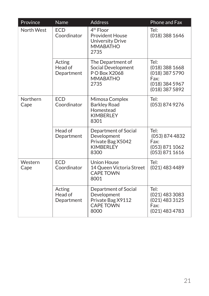| Province         | <b>Name</b>                     | <b>Address</b>                                                                                        | Phone and Fax                                                                          |
|------------------|---------------------------------|-------------------------------------------------------------------------------------------------------|----------------------------------------------------------------------------------------|
| North West       | <b>ECD</b><br>Coordinator       | 4 <sup>th</sup> Floor<br><b>Provident House</b><br><b>University Drive</b><br><b>MMABATHO</b><br>2735 | Tel:<br>(018) 388 1646                                                                 |
|                  | Acting<br>Head of<br>Department | The Department of<br>Social Development<br>P O Box X2068<br><b>MMABATHO</b><br>2735                   | Tel:<br>$(018)$ 388 1668<br>(018) 387 5790<br>Fax:<br>(018) 384 5967<br>(018) 387 5892 |
| Northern<br>Cape | <b>ECD</b><br>Coordinator       | Mimosa Complex<br><b>Barkley Road</b><br>Homestead<br><b>KIMBERLEY</b><br>8301                        | Tel:<br>(053) 874 9276                                                                 |
|                  | Head of<br>Department           | Department of Social<br>Development<br>Private Bag X5042<br><b>KIMBERLEY</b><br>8300                  | Tel:<br>(053) 874 4832<br>Fax:<br>(053) 871 1062<br>(053) 871 1616                     |
| Western<br>Cape  | <b>FCD</b><br>Coordinator       | <b>Union House</b><br>14 Queen Victoria Street<br><b>CAPE TOWN</b><br>8001                            | Tel:<br>(021) 483 4489                                                                 |
|                  | Acting<br>Head of<br>Department | Department of Social<br>Development<br>Private Bag X9112<br><b>CAPE TOWN</b><br>8000                  | Tel:<br>(021) 483 3083<br>(021) 483 3125<br>Fax:<br>(021) 483 4783                     |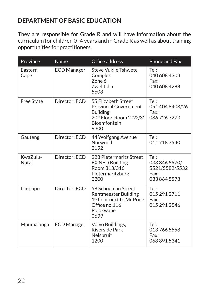#### **DEPARTMENT OF BASIC EDUCATION**

They are responsible for Grade R and will have information about the curriculum for children 0–4 years and in Grade R as well as about training opportunities for practitioners.

| Province          | Name               | Office address                                                                                                                     | Phone and Fax                                                   |
|-------------------|--------------------|------------------------------------------------------------------------------------------------------------------------------------|-----------------------------------------------------------------|
| Eastern<br>Cape   | <b>ECD Manager</b> | <b>Steve Vukile Tshwete</b><br>Complex<br>Zone 6<br>Zwelitsha<br>5608                                                              | Tel:<br>040 608 4303<br>Fax:<br>040 608 4288                    |
| <b>Free State</b> | Director: ECD      | 55 Elizabeth Street<br><b>Provincial Government</b><br>Building,<br>20th Floor, Room 2022/31<br><b>Bloemfontein</b><br>9300        | Tel:<br>051 404 8408/26<br>Fax:<br>0867267273                   |
| Gauteng           | Director: ECD      | 44 Wolfgang Avenue<br>Norwood<br>2192                                                                                              | Tel:<br>0117187540                                              |
| KwaZulu-<br>Natal | Director: ECD      | 228 Pietermaritz Street<br><b>EX NED Building</b><br>Room 313/316<br>Pietermaritzburg<br>3200                                      | Tel:<br>033 846 5570/<br>5521/5582/5532<br>Fax:<br>033 864 5578 |
| Limpopo           | Director: ECD      | 58 Schoeman Street<br><b>Rentmeester Building</b><br>1 <sup>st</sup> floor next to Mr Price,<br>Office no.116<br>Polokwane<br>0699 | Tel:<br>015 291 2711<br>Fax:<br>015 291 2546                    |
| Mpumalanga        | <b>ECD Manager</b> | Volvo Buildings,<br><b>Riverside Park</b><br>Nelspruit<br>1200                                                                     | Tel:<br>0137665558<br>Fax:<br>068 891 5341                      |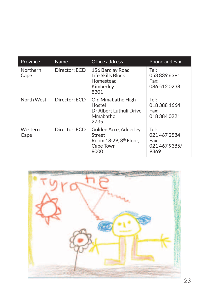| Province         | <b>Name</b>   | Office address                                                                             | Phone and Fax                                     |
|------------------|---------------|--------------------------------------------------------------------------------------------|---------------------------------------------------|
| Northern<br>Cape | Director: ECD | 156 Barclay Road<br>Life Skills Block<br>Homestead<br>Kimberley<br>8301                    | Tel:<br>0538396391<br>Fax:<br>086 512 0238        |
| North West       | Director: ECD | Old Mmabatho High<br>Hostel<br>Dr Albert Luthuli Drive<br>Mmabatho<br>2735                 | Tel:<br>018 388 1664<br>Fax:<br>018 384 0221      |
| Western<br>Cape  | Director: ECD | Golden Acre, Adderley<br>Street<br>Room 18:29, 8 <sup>th</sup> Floor,<br>Cape Town<br>8000 | Tel:<br>0214672584<br>Fax:<br>0214679385/<br>9369 |

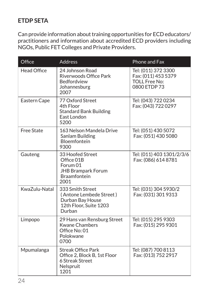#### **ETDP SETA**

Can provide information about training opportunities for ECD educators/ practitioners and information about accredited ECD providers including NGOs, Public FET Colleges and Private Providers.

| Office             | <b>Address</b>                                                                                         | Phone and Fax                                                                      |
|--------------------|--------------------------------------------------------------------------------------------------------|------------------------------------------------------------------------------------|
| <b>Head Office</b> | 24 Johnson Road<br>Riverwoods Office Park<br>Bedfordview<br>Johannesburg<br>2007                       | Tel: (011) 372 3300<br>Fax: (011) 453 5379<br><b>TOLL Free No:</b><br>0800 ETDP 73 |
| Eastern Cape       | 77 Oxford Street<br>4th Floor<br><b>Standard Bank Building</b><br>East London<br>5200                  | Tel: (043) 722 0234<br>Fax: (043) 722 0297                                         |
| <b>Free State</b>  | 163 Nelson Mandela Drive<br>Sanlam Building<br><b>Bloemfontein</b><br>9300                             | Tel: (051) 430 5072<br>Fax: (051) 430 5080                                         |
| Gauteng            | 33 Hoofed Street<br>Office 01B<br>Forum 01<br><b>JHB Brampark Forum</b><br><b>Braamfontein</b><br>2001 | Tel: (011) 403 1301/2/3/6<br>Fax: (086) 614 8781                                   |
| KwaZulu-Natal      | 333 Smith Street<br>(Antone Lembede Street)<br>Durban Bay House<br>12th Floor, Suite 1203<br>Durban    | Tel: (031) 304 5930/2<br>Fax: (031) 301 9313                                       |
| Limpopo            | 29 Hans van Rensburg Street<br><b>Kwane Chambers</b><br>Office No: 01<br>Polokwane<br>0700             | Tel: (015) 295 9303<br>Fax: (015) 295 9301                                         |
| Mpumalanga         | <b>Streak Office Park</b><br>Office 2, Block B, 1st Floor<br>6 Streak Street<br>Nelspruit<br>1201      | Tel: (087) 700 8113<br>Fax: (013) 752 2917                                         |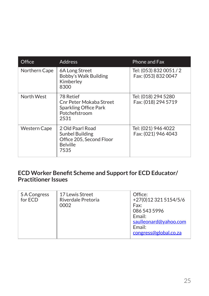| Office              | <b>Address</b>                                                                             | Phone and Fax                                  |
|---------------------|--------------------------------------------------------------------------------------------|------------------------------------------------|
| Northern Cape       | 6A Long Street<br>Bobby's Walk Building<br>Kimberley<br>8300                               | Tel: (053) 832 0051 / 2<br>Fax: (053) 832 0047 |
| North West          | 78 Retief<br>Cnr Peter Mokaba Street<br>Sparkling Office Park<br>Potchefstroom<br>2531     | Tel: (018) 294 5280<br>Fax: (018) 294 5719     |
| <b>Western Cape</b> | 2 Old Paarl Road<br>Sunbel Building<br>Office 205, Second Floor<br><b>Belville</b><br>7535 | Tel: (021) 946 4022<br>Fax: (021) 946 4043     |

#### **ECD Worker Benefit Scheme and Support for ECD Educator/ Practitioner Issues**

| <b>SA Congress</b><br>for ECD | 17 Lewis Street<br>Riverdale Pretoria<br>0002 | Office:<br>+27(0)12 321 5154/5/6<br>Fax:<br>086 543 5996<br>Email:<br>saulleonard@yahoo.com<br>Email:<br>congress@global.co.za |
|-------------------------------|-----------------------------------------------|--------------------------------------------------------------------------------------------------------------------------------|
|-------------------------------|-----------------------------------------------|--------------------------------------------------------------------------------------------------------------------------------|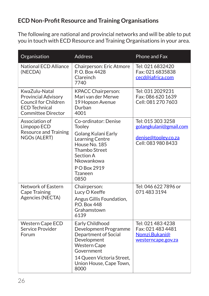#### **ECD Non-Profit Resource and Training Organisations**

The following are national and provincial networks and will be able to put you in touch with ECD Resource and Training Organisations in your area.

| Organisation                                                                                                                    | <b>Address</b>                                                                                                                                                                        | Phone and Fax                                                                            |
|---------------------------------------------------------------------------------------------------------------------------------|---------------------------------------------------------------------------------------------------------------------------------------------------------------------------------------|------------------------------------------------------------------------------------------|
| <b>National ECD Alliance</b><br>(NECDA)                                                                                         | Chairperson: Eric Atmore<br>P.O. Box 4428<br>Clareinch<br>7740                                                                                                                        | Tel: 021 6832420<br>Fax: 021 6835838<br>cecd@iafrica.com                                 |
| KwaZulu-Natal<br><b>Provincial Advisory</b><br><b>Council for Children</b><br><b>ECD Technical</b><br><b>Committee Director</b> | <b>KPACC Chairperson:</b><br>Mari van der Merwe<br>19 Hopson Avenue<br>Durban<br>4001                                                                                                 | Tel: 031 2029231<br>Fax: 086 620 1639<br>Cell: 081 270 7603                              |
| Association of<br>Limpopo ECD<br><b>Resource and Training</b><br>NGOs (ALERT)                                                   | Co-ordinator: Denise<br><b>Tooley</b><br>Golang Kulani Early<br>Learning Centre<br>House No. 185<br><b>Thambo Street</b><br>Section A<br>Nkowankowa<br>PO Box 2919<br>Tzaneen<br>0850 | Tel: 015 303 3258<br>golangkulani@gmail.com<br>denise@tooley.co.za<br>Cell: 083 980 8433 |
| Network of Eastern<br><b>Cape Training</b><br>Agencies (NECTA)                                                                  | Chairperson:<br>Lucy O Keeffe<br>Angus Gillis Foundation,<br><b>P.O. Box 448</b><br>Grahamstown<br>6139                                                                               | Tel: 046 622 7896 or<br>0714833194                                                       |
| <b>Western Cape ECD</b><br>Service Provider<br>Forum                                                                            | Early Childhood<br>Development Programme<br>Department of Social<br>Development<br><b>Western Cape</b><br>Government<br>14 Queen Victoria Street,<br>Union House, Cape Town,<br>8000  | Tel: 021 483 4238<br>Fax: 021 483 4481<br>Nomzi.Bukani@<br>westerncape.gov.za            |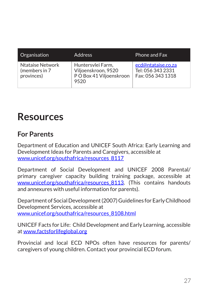| Organisation                                           | <b>Address</b>                                                              | <b>Phone and Fax</b>                                         |
|--------------------------------------------------------|-----------------------------------------------------------------------------|--------------------------------------------------------------|
| <b>Ntataise Network</b><br>(members in 7<br>provinces) | Huntersvlei Farm,<br>Viljoenskroon, 9520<br>PO Box 41 Viljoenskroon<br>9520 | ecd@ntataise.co.za<br>Tel: 056 343 2331<br>Fax: 056 343 1318 |

### **Resources**

#### **For Parents**

Department of Education and UNICEF South Africa: Early Learning and Development Ideas for Parents and Caregivers, accessible at www.unicef.org/southafrica/resources\_8117

Department of Social Development and UNICEF 2008 Parental/ primary caregiver capacity building training package, accessible at www.unicef.org/southafrica/resources 8113. (This contains handouts and annexures with useful information for parents).

Department of Social Development (2007) Guidelines for Early Childhood Development Services, accessible at www.unicef.org/southafrica/resources\_8108.html

UNICEF Facts for Life: Child Development and Early Learning, accessible at www.factsforlifeglobal.org

Provincial and local ECD NPOs often have resources for parents/ caregivers of young children. Contact your provincial ECD forum.